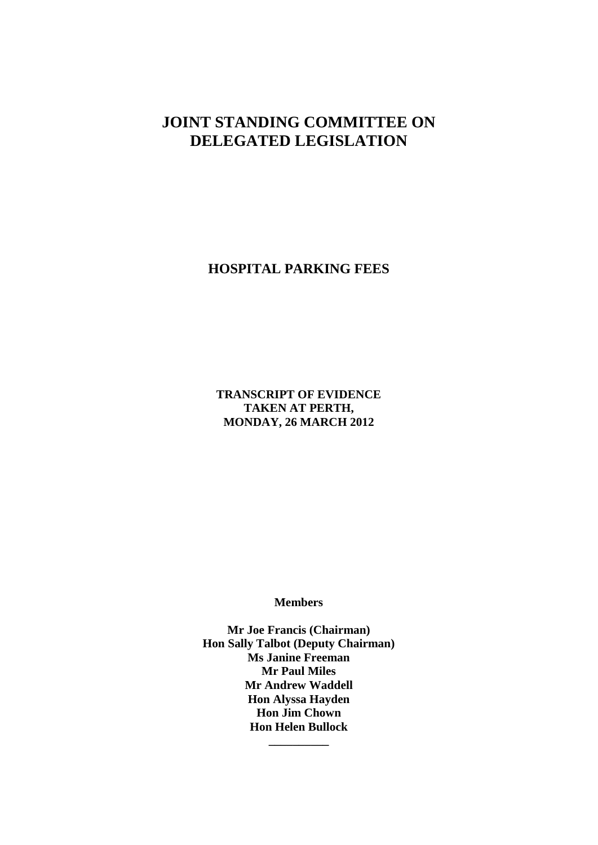# **JOINT STANDING COMMITTEE ON DELEGATED LEGISLATION**

# **HOSPITAL PARKING FEES**

**TRANSCRIPT OF EVIDENCE TAKEN AT PERTH, MONDAY, 26 MARCH 2012**

**Members**

**Mr Joe Francis (Chairman) Hon Sally Talbot (Deputy Chairman) Ms Janine Freeman Mr Paul Miles Mr Andrew Waddell Hon Alyssa Hayden Hon Jim Chown Hon Helen Bullock \_\_\_\_\_\_\_\_\_\_**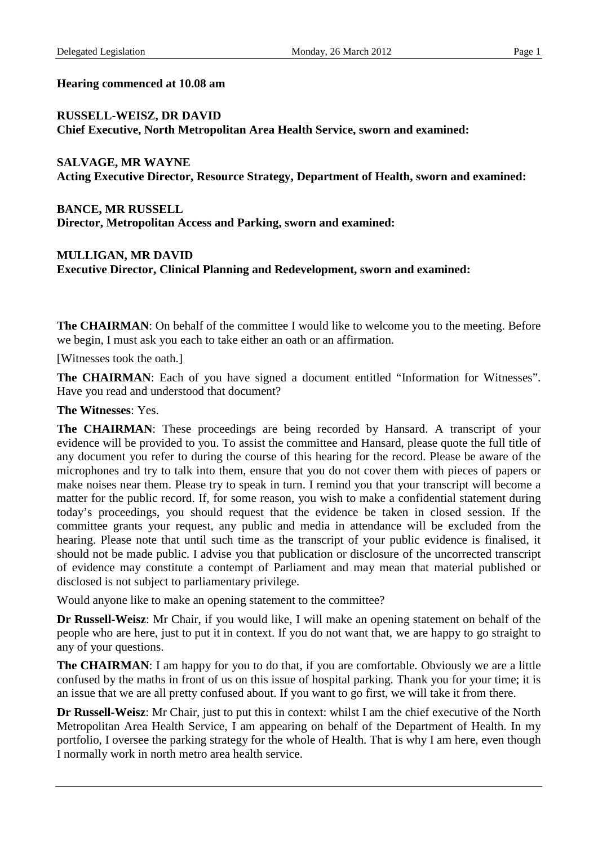#### **Hearing commenced at 10.08 am**

#### **RUSSELL-WEISZ, DR DAVID Chief Executive, North Metropolitan Area Health Service, sworn and examined:**

#### **SALVAGE, MR WAYNE Acting Executive Director, Resource Strategy, Department of Health, sworn and examined:**

**BANCE, MR RUSSELL Director, Metropolitan Access and Parking, sworn and examined:**

### **MULLIGAN, MR DAVID Executive Director, Clinical Planning and Redevelopment, sworn and examined:**

**The CHAIRMAN:** On behalf of the committee I would like to welcome you to the meeting. Before we begin, I must ask you each to take either an oath or an affirmation.

[Witnesses took the oath.]

The CHAIRMAN: Each of you have signed a document entitled "Information for Witnesses". Have you read and understood that document?

#### **The Witnesses**: Yes.

**The CHAIRMAN:** These proceedings are being recorded by Hansard. A transcript of your evidence will be provided to you. To assist the committee and Hansard, please quote the full title of any document you refer to during the course of this hearing for the record. Please be aware of the microphones and try to talk into them, ensure that you do not cover them with pieces of papers or make noises near them. Please try to speak in turn. I remind you that your transcript will become a matter for the public record. If, for some reason, you wish to make a confidential statement during today's proceedings, you should request that the evidence be taken in closed session. If the committee grants your request, any public and media in attendance will be excluded from the hearing. Please note that until such time as the transcript of your public evidence is finalised, it should not be made public. I advise you that publication or disclosure of the uncorrected transcript of evidence may constitute a contempt of Parliament and may mean that material published or disclosed is not subject to parliamentary privilege.

Would anyone like to make an opening statement to the committee?

**Dr Russell-Weisz**: Mr Chair, if you would like, I will make an opening statement on behalf of the people who are here, just to put it in context. If you do not want that, we are happy to go straight to any of your questions.

**The CHAIRMAN**: I am happy for you to do that, if you are comfortable. Obviously we are a little confused by the maths in front of us on this issue of hospital parking. Thank you for your time; it is an issue that we are all pretty confused about. If you want to go first, we will take it from there.

**Dr Russell-Weisz**: Mr Chair, just to put this in context: whilst I am the chief executive of the North Metropolitan Area Health Service, I am appearing on behalf of the Department of Health. In my portfolio, I oversee the parking strategy for the whole of Health. That is why I am here, even though I normally work in north metro area health service.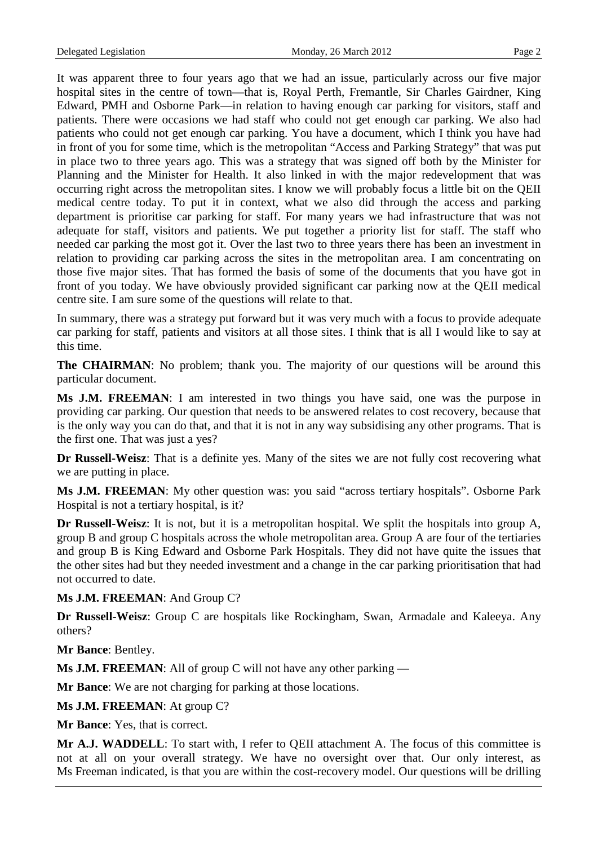It was apparent three to four years ago that we had an issue, particularly across our five major hospital sites in the centre of town—that is, Royal Perth, Fremantle, Sir Charles Gairdner, King Edward, PMH and Osborne Park—in relation to having enough car parking for visitors, staff and patients. There were occasions we had staff who could not get enough car parking. We also had patients who could not get enough car parking. You have a document, which I think you have had in front of you for some time, which is the metropolitan "Access and Parking Strategy" that was put in place two to three years ago. This was a strategy that was signed off both by the Minister for Planning and the Minister for Health. It also linked in with the major redevelopment that was occurring right across the metropolitan sites. I know we will probably focus a little bit on the QEII medical centre today. To put it in context, what we also did through the access and parking department is prioritise car parking for staff. For many years we had infrastructure that was not adequate for staff, visitors and patients. We put together a priority list for staff. The staff who needed car parking the most got it. Over the last two to three years there has been an investment in relation to providing car parking across the sites in the metropolitan area. I am concentrating on those five major sites. That has formed the basis of some of the documents that you have got in front of you today. We have obviously provided significant car parking now at the QEII medical centre site. I am sure some of the questions will relate to that.

In summary, there was a strategy put forward but it was very much with a focus to provide adequate car parking for staff, patients and visitors at all those sites. I think that is all I would like to say at this time.

**The CHAIRMAN:** No problem; thank you. The majority of our questions will be around this particular document.

**Ms J.M. FREEMAN**: I am interested in two things you have said, one was the purpose in providing car parking. Our question that needs to be answered relates to cost recovery, because that is the only way you can do that, and that it is not in any way subsidising any other programs. That is the first one. That was just a yes?

**Dr Russell-Weisz**: That is a definite yes. Many of the sites we are not fully cost recovering what we are putting in place.

**Ms J.M. FREEMAN**: My other question was: you said "across tertiary hospitals". Osborne Park Hospital is not a tertiary hospital, is it?

**Dr Russell-Weisz**: It is not, but it is a metropolitan hospital. We split the hospitals into group A, group B and group C hospitals across the whole metropolitan area. Group A are four of the tertiaries and group B is King Edward and Osborne Park Hospitals. They did not have quite the issues that the other sites had but they needed investment and a change in the car parking prioritisation that had not occurred to date.

**Ms J.M. FREEMAN**: And Group C?

**Dr Russell-Weisz**: Group C are hospitals like Rockingham, Swan, Armadale and Kaleeya. Any others?

**Mr Bance**: Bentley.

**Ms J.M. FREEMAN:** All of group C will not have any other parking —

**Mr Bance**: We are not charging for parking at those locations.

**Ms J.M. FREEMAN**: At group C?

**Mr Bance**: Yes, that is correct.

**Mr A.J. WADDELL**: To start with, I refer to QEII attachment A. The focus of this committee is not at all on your overall strategy. We have no oversight over that. Our only interest, as Ms Freeman indicated, is that you are within the cost-recovery model. Our questions will be drilling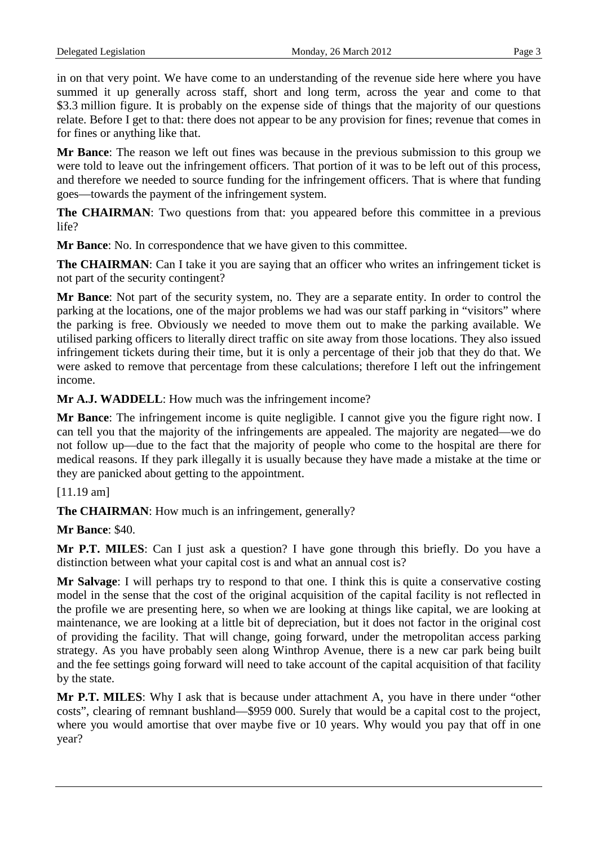in on that very point. We have come to an understanding of the revenue side here where you have summed it up generally across staff, short and long term, across the year and come to that \$3.3 million figure. It is probably on the expense side of things that the majority of our questions relate. Before I get to that: there does not appear to be any provision for fines; revenue that comes in for fines or anything like that.

**Mr Bance**: The reason we left out fines was because in the previous submission to this group we were told to leave out the infringement officers. That portion of it was to be left out of this process, and therefore we needed to source funding for the infringement officers. That is where that funding goes—towards the payment of the infringement system.

**The CHAIRMAN**: Two questions from that: you appeared before this committee in a previous life?

**Mr Bance**: No. In correspondence that we have given to this committee.

**The CHAIRMAN**: Can I take it you are saying that an officer who writes an infringement ticket is not part of the security contingent?

**Mr Bance**: Not part of the security system, no. They are a separate entity. In order to control the parking at the locations, one of the major problems we had was our staff parking in "visitors" where the parking is free. Obviously we needed to move them out to make the parking available. We utilised parking officers to literally direct traffic on site away from those locations. They also issued infringement tickets during their time, but it is only a percentage of their job that they do that. We were asked to remove that percentage from these calculations; therefore I left out the infringement income.

**Mr A.J. WADDELL**: How much was the infringement income?

**Mr Bance**: The infringement income is quite negligible. I cannot give you the figure right now. I can tell you that the majority of the infringements are appealed. The majority are negated—we do not follow up—due to the fact that the majority of people who come to the hospital are there for medical reasons. If they park illegally it is usually because they have made a mistake at the time or they are panicked about getting to the appointment.

## [11.19 am]

**The CHAIRMAN:** How much is an infringement, generally?

**Mr Bance**: \$40.

**Mr P.T. MILES**: Can I just ask a question? I have gone through this briefly. Do you have a distinction between what your capital cost is and what an annual cost is?

**Mr Salvage**: I will perhaps try to respond to that one. I think this is quite a conservative costing model in the sense that the cost of the original acquisition of the capital facility is not reflected in the profile we are presenting here, so when we are looking at things like capital, we are looking at maintenance, we are looking at a little bit of depreciation, but it does not factor in the original cost of providing the facility. That will change, going forward, under the metropolitan access parking strategy. As you have probably seen along Winthrop Avenue, there is a new car park being built and the fee settings going forward will need to take account of the capital acquisition of that facility by the state.

**Mr P.T. MILES**: Why I ask that is because under attachment A, you have in there under "other costs", clearing of remnant bushland—\$959 000. Surely that would be a capital cost to the project, where you would amortise that over maybe five or 10 years. Why would you pay that off in one year?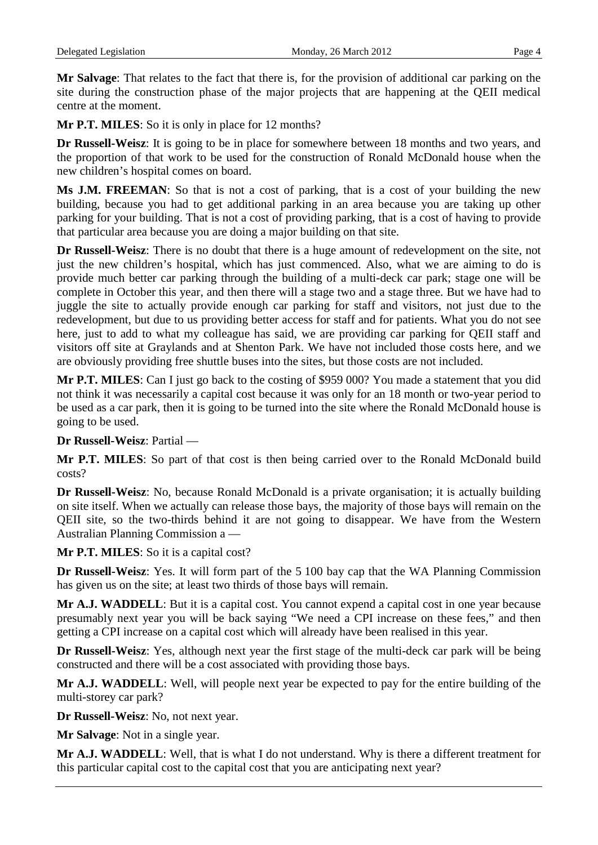**Mr Salvage**: That relates to the fact that there is, for the provision of additional car parking on the site during the construction phase of the major projects that are happening at the QEII medical centre at the moment.

**Mr P.T. MILES**: So it is only in place for 12 months?

**Dr Russell-Weisz**: It is going to be in place for somewhere between 18 months and two years, and the proportion of that work to be used for the construction of Ronald McDonald house when the new children's hospital comes on board.

**Ms J.M. FREEMAN**: So that is not a cost of parking, that is a cost of your building the new building, because you had to get additional parking in an area because you are taking up other parking for your building. That is not a cost of providing parking, that is a cost of having to provide that particular area because you are doing a major building on that site.

**Dr Russell-Weisz**: There is no doubt that there is a huge amount of redevelopment on the site, not just the new children's hospital, which has just commenced. Also, what we are aiming to do is provide much better car parking through the building of a multi-deck car park; stage one will be complete in October this year, and then there will a stage two and a stage three. But we have had to juggle the site to actually provide enough car parking for staff and visitors, not just due to the redevelopment, but due to us providing better access for staff and for patients. What you do not see here, just to add to what my colleague has said, we are providing car parking for QEII staff and visitors off site at Graylands and at Shenton Park. We have not included those costs here, and we are obviously providing free shuttle buses into the sites, but those costs are not included.

**Mr P.T. MILES**: Can I just go back to the costing of \$959 000? You made a statement that you did not think it was necessarily a capital cost because it was only for an 18 month or two-year period to be used as a car park, then it is going to be turned into the site where the Ronald McDonald house is going to be used.

### **Dr Russell-Weisz**: Partial —

**Mr P.T. MILES**: So part of that cost is then being carried over to the Ronald McDonald build costs?

**Dr Russell-Weisz**: No, because Ronald McDonald is a private organisation; it is actually building on site itself. When we actually can release those bays, the majority of those bays will remain on the QEII site, so the two-thirds behind it are not going to disappear. We have from the Western Australian Planning Commission a —

**Mr P.T. MILES**: So it is a capital cost?

**Dr Russell-Weisz**: Yes. It will form part of the 5 100 bay cap that the WA Planning Commission has given us on the site; at least two thirds of those bays will remain.

**Mr A.J. WADDELL**: But it is a capital cost. You cannot expend a capital cost in one year because presumably next year you will be back saying "We need a CPI increase on these fees," and then getting a CPI increase on a capital cost which will already have been realised in this year.

**Dr Russell-Weisz**: Yes, although next year the first stage of the multi-deck car park will be being constructed and there will be a cost associated with providing those bays.

**Mr A.J. WADDELL**: Well, will people next year be expected to pay for the entire building of the multi-storey car park?

**Dr Russell-Weisz**: No, not next year.

**Mr Salvage**: Not in a single year.

**Mr A.J. WADDELL**: Well, that is what I do not understand. Why is there a different treatment for this particular capital cost to the capital cost that you are anticipating next year?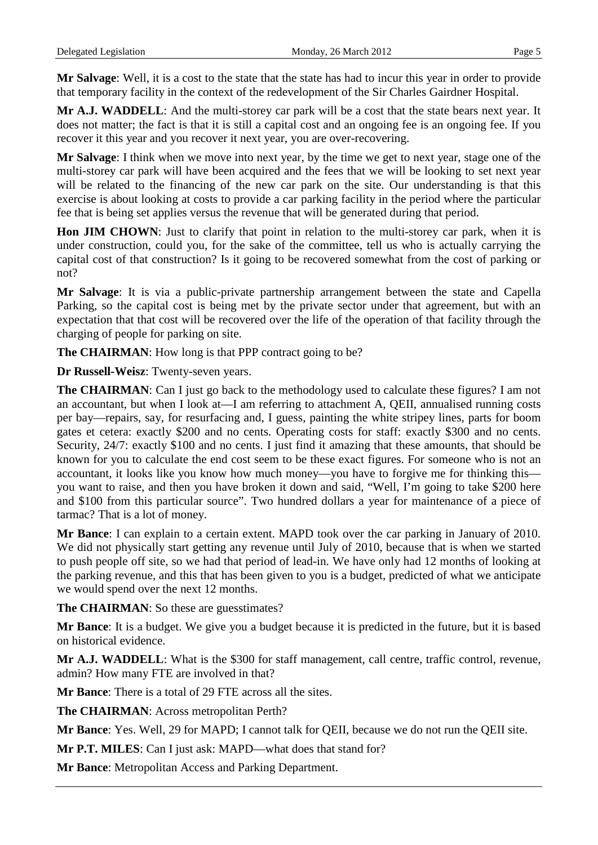**Mr Salvage**: Well, it is a cost to the state that the state has had to incur this year in order to provide that temporary facility in the context of the redevelopment of the Sir Charles Gairdner Hospital.

**Mr A.J. WADDELL**: And the multi-storey car park will be a cost that the state bears next year. It does not matter; the fact is that it is still a capital cost and an ongoing fee is an ongoing fee. If you recover it this year and you recover it next year, you are over-recovering.

**Mr Salvage**: I think when we move into next year, by the time we get to next year, stage one of the multi-storey car park will have been acquired and the fees that we will be looking to set next year will be related to the financing of the new car park on the site. Our understanding is that this exercise is about looking at costs to provide a car parking facility in the period where the particular fee that is being set applies versus the revenue that will be generated during that period.

**Hon JIM CHOWN**: Just to clarify that point in relation to the multi-storey car park, when it is under construction, could you, for the sake of the committee, tell us who is actually carrying the capital cost of that construction? Is it going to be recovered somewhat from the cost of parking or not?

**Mr Salvage**: It is via a public-private partnership arrangement between the state and Capella Parking, so the capital cost is being met by the private sector under that agreement, but with an expectation that that cost will be recovered over the life of the operation of that facility through the charging of people for parking on site.

**The CHAIRMAN:** How long is that PPP contract going to be?

**Dr Russell-Weisz**: Twenty-seven years.

**The CHAIRMAN**: Can I just go back to the methodology used to calculate these figures? I am not an accountant, but when I look at—I am referring to attachment A, QEII, annualised running costs per bay—repairs, say, for resurfacing and, I guess, painting the white stripey lines, parts for boom gates et cetera: exactly \$200 and no cents. Operating costs for staff: exactly \$300 and no cents. Security, 24/7: exactly \$100 and no cents. I just find it amazing that these amounts, that should be known for you to calculate the end cost seem to be these exact figures. For someone who is not an accountant, it looks like you know how much money—you have to forgive me for thinking this you want to raise, and then you have broken it down and said, "Well, I'm going to take \$200 here and \$100 from this particular source". Two hundred dollars a year for maintenance of a piece of tarmac? That is a lot of money.

**Mr Bance**: I can explain to a certain extent. MAPD took over the car parking in January of 2010. We did not physically start getting any revenue until July of 2010, because that is when we started to push people off site, so we had that period of lead-in. We have only had 12 months of looking at the parking revenue, and this that has been given to you is a budget, predicted of what we anticipate we would spend over the next 12 months.

**The CHAIRMAN**: So these are guesstimates?

**Mr Bance**: It is a budget. We give you a budget because it is predicted in the future, but it is based on historical evidence.

**Mr A.J. WADDELL**: What is the \$300 for staff management, call centre, traffic control, revenue, admin? How many FTE are involved in that?

**Mr Bance**: There is a total of 29 FTE across all the sites.

**The CHAIRMAN**: Across metropolitan Perth?

**Mr Bance**: Yes. Well, 29 for MAPD; I cannot talk for QEII, because we do not run the QEII site.

**Mr P.T. MILES**: Can I just ask: MAPD—what does that stand for?

**Mr Bance**: Metropolitan Access and Parking Department.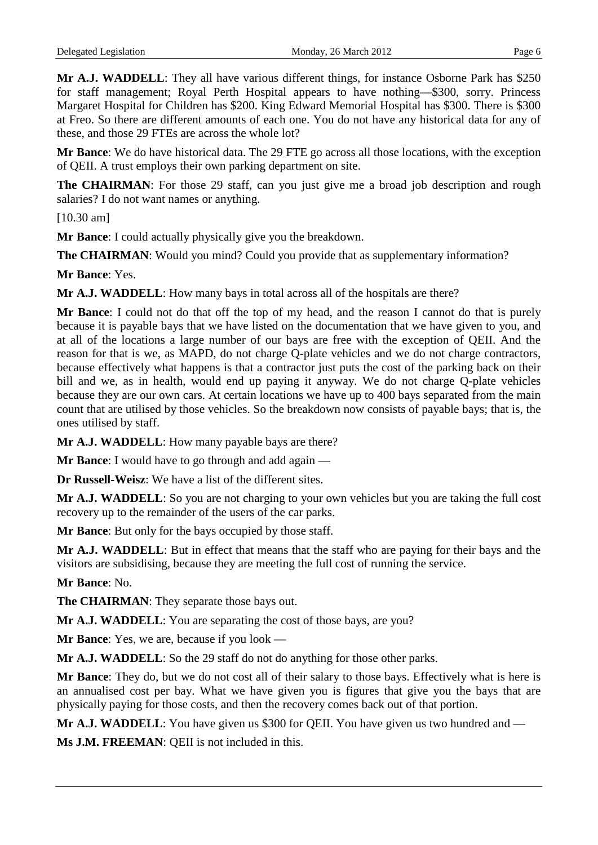**Mr A.J. WADDELL**: They all have various different things, for instance Osborne Park has \$250 for staff management; Royal Perth Hospital appears to have nothing—\$300, sorry. Princess Margaret Hospital for Children has \$200. King Edward Memorial Hospital has \$300. There is \$300 at Freo. So there are different amounts of each one. You do not have any historical data for any of these, and those 29 FTEs are across the whole lot?

**Mr Bance**: We do have historical data. The 29 FTE go across all those locations, with the exception of QEII. A trust employs their own parking department on site.

**The CHAIRMAN**: For those 29 staff, can you just give me a broad job description and rough salaries? I do not want names or anything.

[10.30 am]

**Mr Bance**: I could actually physically give you the breakdown.

**The CHAIRMAN**: Would you mind? Could you provide that as supplementary information?

**Mr Bance**: Yes.

**Mr A.J. WADDELL**: How many bays in total across all of the hospitals are there?

**Mr Bance**: I could not do that off the top of my head, and the reason I cannot do that is purely because it is payable bays that we have listed on the documentation that we have given to you, and at all of the locations a large number of our bays are free with the exception of QEII. And the reason for that is we, as MAPD, do not charge Q-plate vehicles and we do not charge contractors, because effectively what happens is that a contractor just puts the cost of the parking back on their bill and we, as in health, would end up paying it anyway. We do not charge Q-plate vehicles because they are our own cars. At certain locations we have up to 400 bays separated from the main count that are utilised by those vehicles. So the breakdown now consists of payable bays; that is, the ones utilised by staff.

**Mr A.J. WADDELL**: How many payable bays are there?

**Mr Bance**: I would have to go through and add again —

**Dr Russell-Weisz**: We have a list of the different sites.

**Mr A.J. WADDELL**: So you are not charging to your own vehicles but you are taking the full cost recovery up to the remainder of the users of the car parks.

**Mr Bance**: But only for the bays occupied by those staff.

**Mr A.J. WADDELL**: But in effect that means that the staff who are paying for their bays and the visitors are subsidising, because they are meeting the full cost of running the service.

**Mr Bance**: No.

**The CHAIRMAN**: They separate those bays out.

**Mr A.J. WADDELL**: You are separating the cost of those bays, are you?

**Mr Bance**: Yes, we are, because if you look —

**Mr A.J. WADDELL**: So the 29 staff do not do anything for those other parks.

**Mr Bance**: They do, but we do not cost all of their salary to those bays. Effectively what is here is an annualised cost per bay. What we have given you is figures that give you the bays that are physically paying for those costs, and then the recovery comes back out of that portion.

**Mr A.J. WADDELL**: You have given us \$300 for QEII. You have given us two hundred and —

**Ms J.M. FREEMAN**: QEII is not included in this.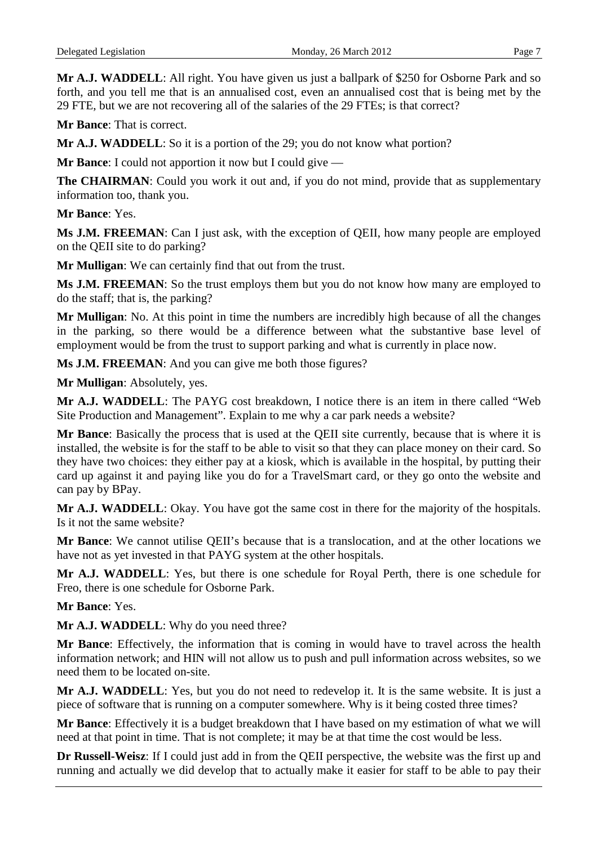**Mr A.J. WADDELL**: All right. You have given us just a ballpark of \$250 for Osborne Park and so forth, and you tell me that is an annualised cost, even an annualised cost that is being met by the 29 FTE, but we are not recovering all of the salaries of the 29 FTEs; is that correct?

**Mr Bance**: That is correct.

**Mr A.J. WADDELL**: So it is a portion of the 29; you do not know what portion?

**Mr Bance**: I could not apportion it now but I could give —

**The CHAIRMAN**: Could you work it out and, if you do not mind, provide that as supplementary information too, thank you.

**Mr Bance**: Yes.

**Ms J.M. FREEMAN**: Can I just ask, with the exception of QEII, how many people are employed on the QEII site to do parking?

**Mr Mulligan**: We can certainly find that out from the trust.

**Ms J.M. FREEMAN**: So the trust employs them but you do not know how many are employed to do the staff; that is, the parking?

**Mr Mulligan**: No. At this point in time the numbers are incredibly high because of all the changes in the parking, so there would be a difference between what the substantive base level of employment would be from the trust to support parking and what is currently in place now.

**Ms J.M. FREEMAN**: And you can give me both those figures?

**Mr Mulligan**: Absolutely, yes.

**Mr A.J. WADDELL**: The PAYG cost breakdown, I notice there is an item in there called "Web Site Production and Management". Explain to me why a car park needs a website?

**Mr Bance**: Basically the process that is used at the QEII site currently, because that is where it is installed, the website is for the staff to be able to visit so that they can place money on their card. So they have two choices: they either pay at a kiosk, which is available in the hospital, by putting their card up against it and paying like you do for a TravelSmart card, or they go onto the website and can pay by BPay.

**Mr A.J. WADDELL**: Okay. You have got the same cost in there for the majority of the hospitals. Is it not the same website?

**Mr Bance**: We cannot utilise QEII's because that is a translocation, and at the other locations we have not as yet invested in that PAYG system at the other hospitals.

**Mr A.J. WADDELL**: Yes, but there is one schedule for Royal Perth, there is one schedule for Freo, there is one schedule for Osborne Park.

**Mr Bance**: Yes.

**Mr A.J. WADDELL**: Why do you need three?

**Mr Bance**: Effectively, the information that is coming in would have to travel across the health information network; and HIN will not allow us to push and pull information across websites, so we need them to be located on-site.

**Mr A.J. WADDELL**: Yes, but you do not need to redevelop it. It is the same website. It is just a piece of software that is running on a computer somewhere. Why is it being costed three times?

**Mr Bance**: Effectively it is a budget breakdown that I have based on my estimation of what we will need at that point in time. That is not complete; it may be at that time the cost would be less.

**Dr Russell-Weisz**: If I could just add in from the QEII perspective, the website was the first up and running and actually we did develop that to actually make it easier for staff to be able to pay their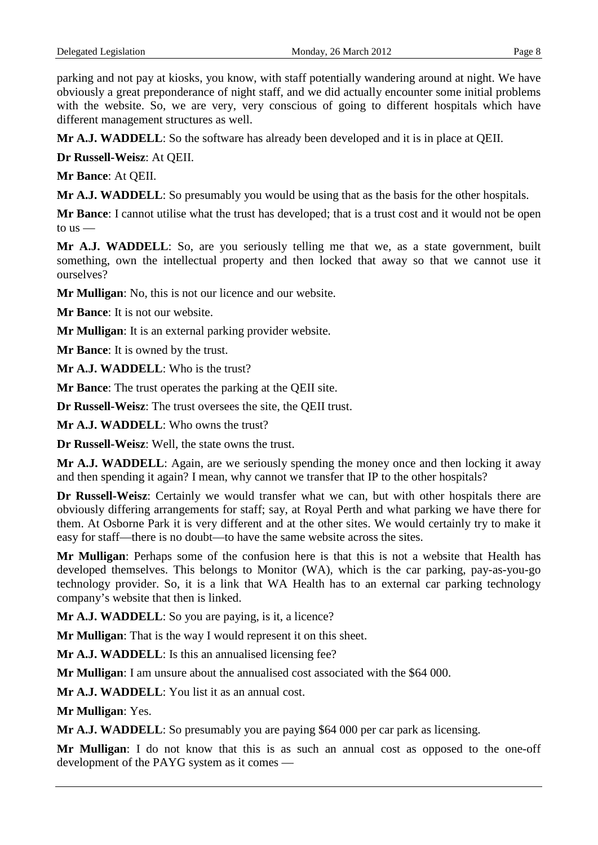parking and not pay at kiosks, you know, with staff potentially wandering around at night. We have obviously a great preponderance of night staff, and we did actually encounter some initial problems with the website. So, we are very, very conscious of going to different hospitals which have different management structures as well.

**Mr A.J. WADDELL**: So the software has already been developed and it is in place at QEII.

**Dr Russell-Weisz**: At QEII.

**Mr Bance**: At QEII.

**Mr A.J. WADDELL**: So presumably you would be using that as the basis for the other hospitals.

**Mr Bance**: I cannot utilise what the trust has developed; that is a trust cost and it would not be open to  $us$  —

**Mr A.J. WADDELL**: So, are you seriously telling me that we, as a state government, built something, own the intellectual property and then locked that away so that we cannot use it ourselves?

**Mr Mulligan**: No, this is not our licence and our website.

**Mr Bance**: It is not our website.

**Mr Mulligan**: It is an external parking provider website.

**Mr Bance:** It is owned by the trust.

**Mr A.J. WADDELL**: Who is the trust?

**Mr Bance**: The trust operates the parking at the QEII site.

**Dr Russell-Weisz**: The trust oversees the site, the QEII trust.

**Mr A.J. WADDELL**: Who owns the trust?

**Dr Russell-Weisz**: Well, the state owns the trust.

**Mr A.J. WADDELL**: Again, are we seriously spending the money once and then locking it away and then spending it again? I mean, why cannot we transfer that IP to the other hospitals?

**Dr Russell-Weisz**: Certainly we would transfer what we can, but with other hospitals there are obviously differing arrangements for staff; say, at Royal Perth and what parking we have there for them. At Osborne Park it is very different and at the other sites. We would certainly try to make it easy for staff—there is no doubt—to have the same website across the sites.

**Mr Mulligan**: Perhaps some of the confusion here is that this is not a website that Health has developed themselves. This belongs to Monitor (WA), which is the car parking, pay-as-you-go technology provider. So, it is a link that WA Health has to an external car parking technology company's website that then is linked.

**Mr A.J. WADDELL**: So you are paying, is it, a licence?

**Mr Mulligan**: That is the way I would represent it on this sheet.

**Mr A.J. WADDELL**: Is this an annualised licensing fee?

**Mr Mulligan**: I am unsure about the annualised cost associated with the \$64 000.

**Mr A.J. WADDELL**: You list it as an annual cost.

**Mr Mulligan**: Yes.

**Mr A.J. WADDELL**: So presumably you are paying \$64 000 per car park as licensing.

**Mr Mulligan**: I do not know that this is as such an annual cost as opposed to the one-off development of the PAYG system as it comes —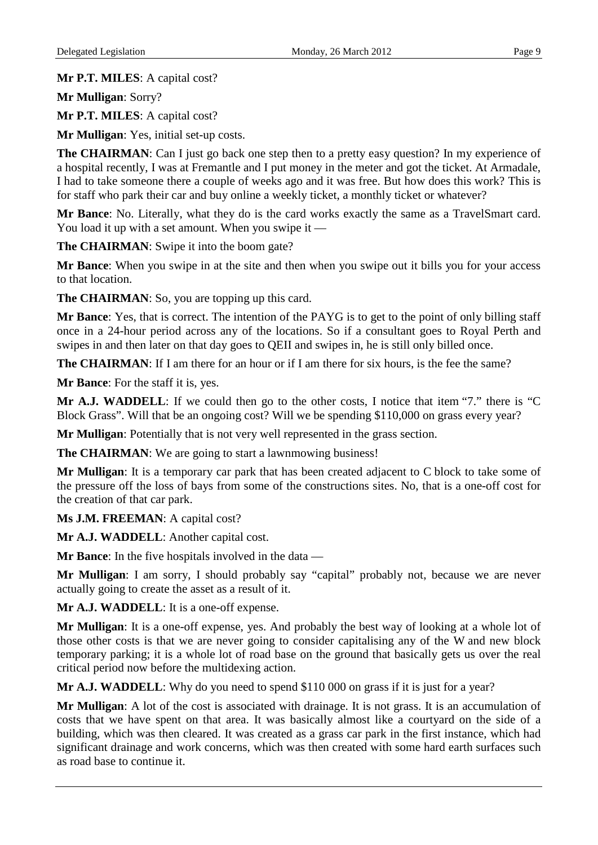**Mr P.T. MILES**: A capital cost?

**Mr Mulligan**: Sorry?

**Mr P.T. MILES**: A capital cost?

**Mr Mulligan**: Yes, initial set-up costs.

**The CHAIRMAN**: Can I just go back one step then to a pretty easy question? In my experience of a hospital recently, I was at Fremantle and I put money in the meter and got the ticket. At Armadale, I had to take someone there a couple of weeks ago and it was free. But how does this work? This is for staff who park their car and buy online a weekly ticket, a monthly ticket or whatever?

**Mr Bance**: No. Literally, what they do is the card works exactly the same as a TravelSmart card. You load it up with a set amount. When you swipe it —

**The CHAIRMAN:** Swipe it into the boom gate?

**Mr Bance**: When you swipe in at the site and then when you swipe out it bills you for your access to that location.

**The CHAIRMAN**: So, you are topping up this card.

**Mr Bance**: Yes, that is correct. The intention of the PAYG is to get to the point of only billing staff once in a 24-hour period across any of the locations. So if a consultant goes to Royal Perth and swipes in and then later on that day goes to QEII and swipes in, he is still only billed once.

**The CHAIRMAN**: If I am there for an hour or if I am there for six hours, is the fee the same?

**Mr Bance**: For the staff it is, yes.

**Mr A.J. WADDELL**: If we could then go to the other costs, I notice that item "7." there is "C Block Grass". Will that be an ongoing cost? Will we be spending \$110,000 on grass every year?

**Mr Mulligan**: Potentially that is not very well represented in the grass section.

**The CHAIRMAN:** We are going to start a lawnmowing business!

**Mr Mulligan**: It is a temporary car park that has been created adjacent to C block to take some of the pressure off the loss of bays from some of the constructions sites. No, that is a one-off cost for the creation of that car park.

**Ms J.M. FREEMAN**: A capital cost?

**Mr A.J. WADDELL**: Another capital cost.

**Mr Bance:** In the five hospitals involved in the data —

**Mr Mulligan**: I am sorry, I should probably say "capital" probably not, because we are never actually going to create the asset as a result of it.

**Mr A.J. WADDELL**: It is a one-off expense.

**Mr Mulligan**: It is a one-off expense, yes. And probably the best way of looking at a whole lot of those other costs is that we are never going to consider capitalising any of the W and new block temporary parking; it is a whole lot of road base on the ground that basically gets us over the real critical period now before the multidexing action.

**Mr A.J. WADDELL**: Why do you need to spend \$110 000 on grass if it is just for a year?

**Mr Mulligan**: A lot of the cost is associated with drainage. It is not grass. It is an accumulation of costs that we have spent on that area. It was basically almost like a courtyard on the side of a building, which was then cleared. It was created as a grass car park in the first instance, which had significant drainage and work concerns, which was then created with some hard earth surfaces such as road base to continue it.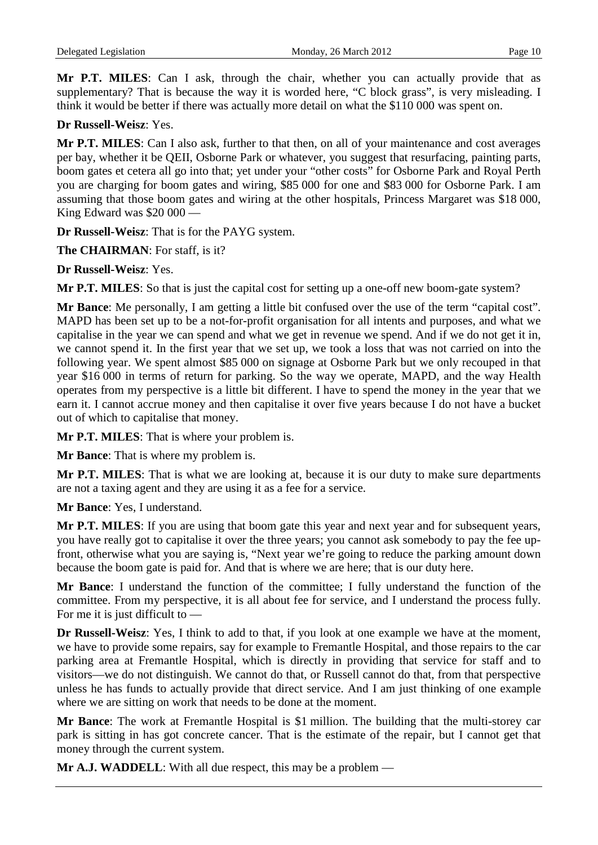**Mr P.T. MILES**: Can I ask, through the chair, whether you can actually provide that as supplementary? That is because the way it is worded here, "C block grass", is very misleading. I think it would be better if there was actually more detail on what the \$110 000 was spent on.

### **Dr Russell-Weisz**: Yes.

**Mr P.T. MILES**: Can I also ask, further to that then, on all of your maintenance and cost averages per bay, whether it be QEII, Osborne Park or whatever, you suggest that resurfacing, painting parts, boom gates et cetera all go into that; yet under your "other costs" for Osborne Park and Royal Perth you are charging for boom gates and wiring, \$85 000 for one and \$83 000 for Osborne Park. I am assuming that those boom gates and wiring at the other hospitals, Princess Margaret was \$18 000, King Edward was \$20 000 —

**Dr Russell-Weisz**: That is for the PAYG system.

**The CHAIRMAN**: For staff, is it?

**Dr Russell-Weisz**: Yes.

**Mr P.T. MILES**: So that is just the capital cost for setting up a one-off new boom-gate system?

**Mr Bance**: Me personally, I am getting a little bit confused over the use of the term "capital cost". MAPD has been set up to be a not-for-profit organisation for all intents and purposes, and what we capitalise in the year we can spend and what we get in revenue we spend. And if we do not get it in, we cannot spend it. In the first year that we set up, we took a loss that was not carried on into the following year. We spent almost \$85 000 on signage at Osborne Park but we only recouped in that year \$16 000 in terms of return for parking. So the way we operate, MAPD, and the way Health operates from my perspective is a little bit different. I have to spend the money in the year that we earn it. I cannot accrue money and then capitalise it over five years because I do not have a bucket out of which to capitalise that money.

**Mr P.T. MILES**: That is where your problem is.

**Mr Bance**: That is where my problem is.

**Mr P.T. MILES**: That is what we are looking at, because it is our duty to make sure departments are not a taxing agent and they are using it as a fee for a service.

**Mr Bance**: Yes, I understand.

**Mr P.T. MILES**: If you are using that boom gate this year and next year and for subsequent years, you have really got to capitalise it over the three years; you cannot ask somebody to pay the fee upfront, otherwise what you are saying is, "Next year we're going to reduce the parking amount down because the boom gate is paid for. And that is where we are here; that is our duty here.

**Mr Bance**: I understand the function of the committee; I fully understand the function of the committee. From my perspective, it is all about fee for service, and I understand the process fully. For me it is just difficult to —

**Dr Russell-Weisz**: Yes, I think to add to that, if you look at one example we have at the moment, we have to provide some repairs, say for example to Fremantle Hospital, and those repairs to the car parking area at Fremantle Hospital, which is directly in providing that service for staff and to visitors—we do not distinguish. We cannot do that, or Russell cannot do that, from that perspective unless he has funds to actually provide that direct service. And I am just thinking of one example where we are sitting on work that needs to be done at the moment.

**Mr Bance**: The work at Fremantle Hospital is \$1 million. The building that the multi-storey car park is sitting in has got concrete cancer. That is the estimate of the repair, but I cannot get that money through the current system.

**Mr A.J. WADDELL**: With all due respect, this may be a problem —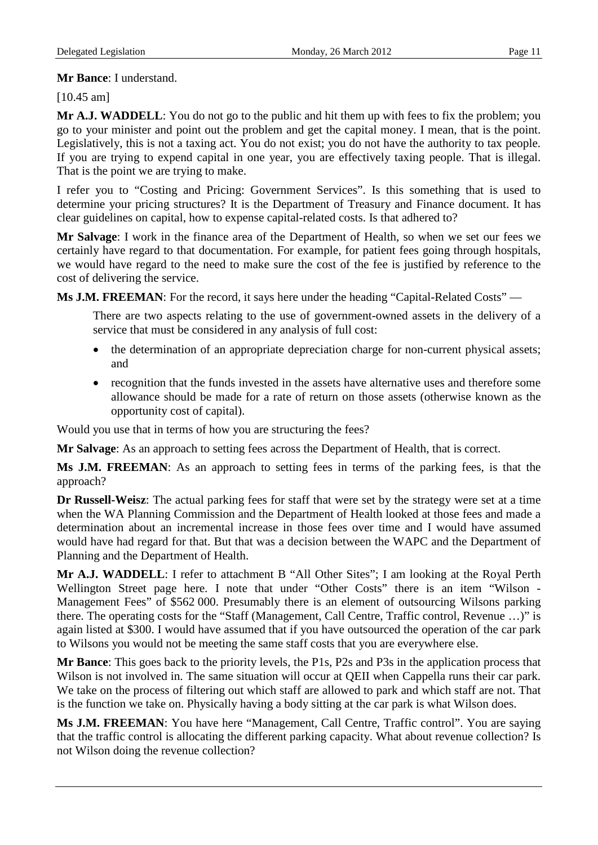### **Mr Bance**: I understand.

### [10.45 am]

**Mr A.J. WADDELL**: You do not go to the public and hit them up with fees to fix the problem; you go to your minister and point out the problem and get the capital money. I mean, that is the point. Legislatively, this is not a taxing act. You do not exist; you do not have the authority to tax people. If you are trying to expend capital in one year, you are effectively taxing people. That is illegal. That is the point we are trying to make.

I refer you to "Costing and Pricing: Government Services". Is this something that is used to determine your pricing structures? It is the Department of Treasury and Finance document. It has clear guidelines on capital, how to expense capital-related costs. Is that adhered to?

**Mr Salvage**: I work in the finance area of the Department of Health, so when we set our fees we certainly have regard to that documentation. For example, for patient fees going through hospitals, we would have regard to the need to make sure the cost of the fee is justified by reference to the cost of delivering the service.

**Ms J.M. FREEMAN**: For the record, it says here under the heading "Capital-Related Costs" —

There are two aspects relating to the use of government-owned assets in the delivery of a service that must be considered in any analysis of full cost:

- the determination of an appropriate depreciation charge for non-current physical assets; and
- recognition that the funds invested in the assets have alternative uses and therefore some allowance should be made for a rate of return on those assets (otherwise known as the opportunity cost of capital).

Would you use that in terms of how you are structuring the fees?

**Mr Salvage**: As an approach to setting fees across the Department of Health, that is correct.

**Ms J.M. FREEMAN**: As an approach to setting fees in terms of the parking fees, is that the approach?

**Dr Russell-Weisz**: The actual parking fees for staff that were set by the strategy were set at a time when the WA Planning Commission and the Department of Health looked at those fees and made a determination about an incremental increase in those fees over time and I would have assumed would have had regard for that. But that was a decision between the WAPC and the Department of Planning and the Department of Health.

**Mr A.J. WADDELL**: I refer to attachment B "All Other Sites"; I am looking at the Royal Perth Wellington Street page here. I note that under "Other Costs" there is an item "Wilson - Management Fees" of \$562 000. Presumably there is an element of outsourcing Wilsons parking there. The operating costs for the "Staff (Management, Call Centre, Traffic control, Revenue …)" is again listed at \$300. I would have assumed that if you have outsourced the operation of the car park to Wilsons you would not be meeting the same staff costs that you are everywhere else.

**Mr Bance**: This goes back to the priority levels, the P1s, P2s and P3s in the application process that Wilson is not involved in. The same situation will occur at QEII when Cappella runs their car park. We take on the process of filtering out which staff are allowed to park and which staff are not. That is the function we take on. Physically having a body sitting at the car park is what Wilson does.

**Ms J.M. FREEMAN**: You have here "Management, Call Centre, Traffic control". You are saying that the traffic control is allocating the different parking capacity. What about revenue collection? Is not Wilson doing the revenue collection?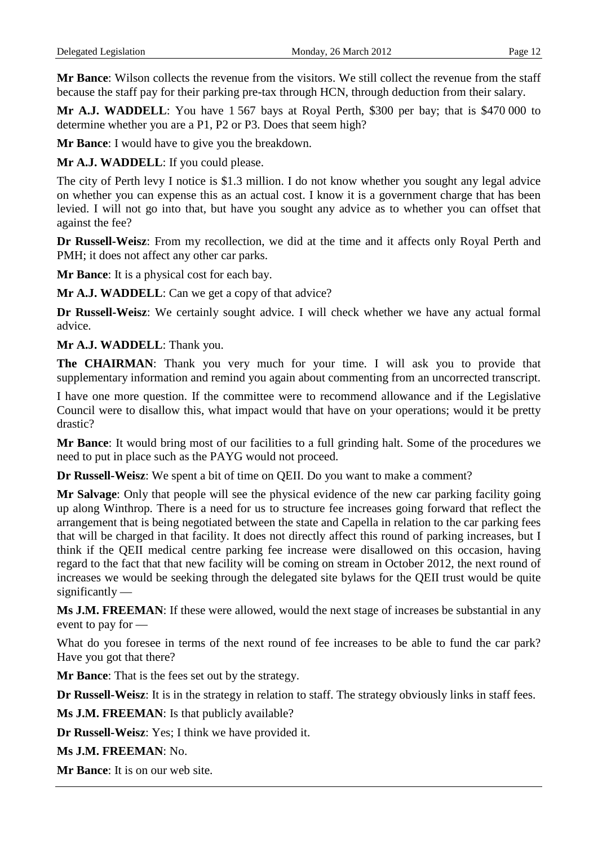**Mr Bance**: Wilson collects the revenue from the visitors. We still collect the revenue from the staff because the staff pay for their parking pre-tax through HCN, through deduction from their salary.

**Mr A.J. WADDELL**: You have 1 567 bays at Royal Perth, \$300 per bay; that is \$470 000 to determine whether you are a P1, P2 or P3. Does that seem high?

**Mr Bance**: I would have to give you the breakdown.

**Mr A.J. WADDELL**: If you could please.

The city of Perth levy I notice is \$1.3 million. I do not know whether you sought any legal advice on whether you can expense this as an actual cost. I know it is a government charge that has been levied. I will not go into that, but have you sought any advice as to whether you can offset that against the fee?

**Dr Russell-Weisz**: From my recollection, we did at the time and it affects only Royal Perth and PMH; it does not affect any other car parks.

**Mr Bance**: It is a physical cost for each bay.

**Mr A.J. WADDELL**: Can we get a copy of that advice?

**Dr Russell-Weisz**: We certainly sought advice. I will check whether we have any actual formal advice.

**Mr A.J. WADDELL**: Thank you.

**The CHAIRMAN**: Thank you very much for your time. I will ask you to provide that supplementary information and remind you again about commenting from an uncorrected transcript.

I have one more question. If the committee were to recommend allowance and if the Legislative Council were to disallow this, what impact would that have on your operations; would it be pretty drastic?

**Mr Bance**: It would bring most of our facilities to a full grinding halt. Some of the procedures we need to put in place such as the PAYG would not proceed.

**Dr Russell-Weisz**: We spent a bit of time on QEII. Do you want to make a comment?

**Mr Salvage**: Only that people will see the physical evidence of the new car parking facility going up along Winthrop. There is a need for us to structure fee increases going forward that reflect the arrangement that is being negotiated between the state and Capella in relation to the car parking fees that will be charged in that facility. It does not directly affect this round of parking increases, but I think if the QEII medical centre parking fee increase were disallowed on this occasion, having regard to the fact that that new facility will be coming on stream in October 2012, the next round of increases we would be seeking through the delegated site bylaws for the QEII trust would be quite significantly —

**Ms J.M. FREEMAN**: If these were allowed, would the next stage of increases be substantial in any event to pay for —

What do you foresee in terms of the next round of fee increases to be able to fund the car park? Have you got that there?

**Mr Bance**: That is the fees set out by the strategy.

**Dr Russell-Weisz**: It is in the strategy in relation to staff. The strategy obviously links in staff fees.

**Ms J.M. FREEMAN**: Is that publicly available?

**Dr Russell-Weisz**: Yes; I think we have provided it.

**Ms J.M. FREEMAN**: No.

**Mr Bance**: It is on our web site.